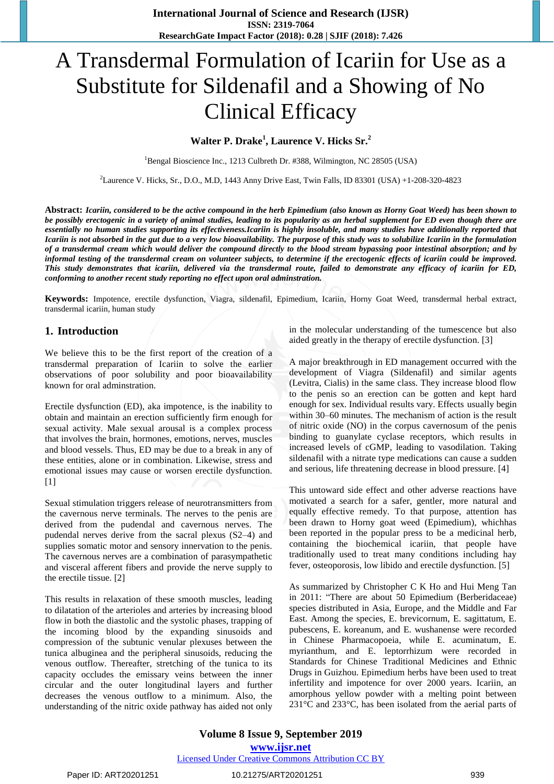# A Transdermal Formulation of Icariin for Use as a Substitute for Sildenafil and a Showing of No Clinical Efficacy

# **Walter P. Drake<sup>1</sup> , Laurence V. Hicks Sr.<sup>2</sup>**

<sup>1</sup>Bengal Bioscience Inc., 1213 Culbreth Dr. #388, Wilmington, NC 28505 (USA)

<sup>2</sup>Laurence V. Hicks, Sr., D.O., M.D, 1443 Anny Drive East, Twin Falls, ID 83301 (USA) +1-208-320-4823

Abstract: Icariin, considered to be the active compound in the herb Epimedium (also known as Horny Goat Weed) has been shown to be possibly erectogenic in a variety of animal studies, leading to its popularity as an herbal supplement for ED even though there are essentially no human studies supporting its effectiveness. Icariin is highly insoluble, and many studies have additionally reported that Icariin is not absorbed in the gut due to a very low bioavailability. The purpose of this study was to solubilize Icariin in the formulation of a transdermal cream which would deliver the compound directly to the blood stream bypassing poor intestinal absorption; and by informal testing of the transdermal cream on volunteer subjects, to determine if the erectogenic effects of icariin could be improved. This study demonstrates that icariin, delivered via the transdermal route, failed to demonstrate any efficacy of icariin for ED, *conforming to another recent study reporting no effect upon oral adminstration.*

**Keywords:** Impotence, erectile dysfunction, Viagra, sildenafil, Epimedium, Icariin, Horny Goat Weed, transdermal herbal extract, transdermal icariin, human study

#### **1. Introduction**

We believe this to be the first report of the creation of a transdermal preparation of Icariin to solve the earlier observations of poor solubility and poor bioavailability known for oral adminstration.

Erectile dysfunction (ED), aka impotence, is the inability to obtain and maintain an erection sufficiently firm enough for sexual activity. Male sexual arousal is a complex process that involves the brain, hormones, emotions, nerves, muscles and blood vessels. Thus, ED may be due to a break in any of these entities, alone or in combination. Likewise, stress and emotional issues may cause or worsen erectile dysfunction.  $[1]$ 

Sexual stimulation triggers release of neurotransmitters from the cavernous nerve terminals. The nerves to the penis are derived from the pudendal and cavernous nerves. The pudendal nerves derive from the sacral plexus (S2–4) and supplies somatic motor and sensory innervation to the penis. The cavernous nerves are a combination of parasympathetic and visceral afferent fibers and provide the nerve supply to the erectile tissue. [2]

This results in relaxation of these smooth muscles, leading to dilatation of the arterioles and arteries by increasing blood flow in both the diastolic and the systolic phases, trapping of the incoming blood by the expanding sinusoids and compression of the subtunic venular plexuses between the tunica albuginea and the peripheral sinusoids, reducing the venous outflow. Thereafter, stretching of the tunica to its capacity occludes the emissary veins between the inner circular and the outer longitudinal layers and further decreases the venous outflow to a minimum. Also, the understanding of the nitric oxide pathway has aided not only in the molecular understanding of the tumescence but also aided greatly in the therapy of erectile dysfunction. [3]

A major breakthrough in ED management occurred with the development of Viagra (Sildenafil) and similar agents (Levitra, Cialis) in the same class. They increase blood flow to the penis so an erection can be gotten and kept hard enough for sex. Individual results vary. Effects usually begin within 30–60 minutes. The mechanism of action is the result of nitric oxide (NO) in the corpus cavernosum of the penis binding to guanylate cyclase receptors, which results in increased levels of cGMP, leading to vasodilation. Taking sildenafil with a nitrate type medications can cause a sudden and serious, life threatening decrease in blood pressure. [4]

This untoward side effect and other adverse reactions have motivated a search for a safer, gentler, more natural and equally effective remedy. To that purpose, attention has been drawn to Horny goat weed (Epimedium), whichhas been reported in the popular press to be a medicinal herb, containing the biochemical icariin, that people have traditionally used to treat many conditions including hay fever, osteoporosis, low libido and erectile dysfunction. [5]

As summarized by Christopher C K Ho and Hui Meng Tan in 2011: "There are about 50 Epimedium (Berberidaceae) species distributed in Asia, Europe, and the Middle and Far East. Among the species, E. brevicornum, E. sagittatum, E. pubescens, E. koreanum, and E. wushanense were recorded in Chinese Pharmacopoeia, while E. acuminatum, E. myrianthum, and E. leptorrhizum were recorded in Standards for Chinese Traditional Medicines and Ethnic Drugs in Guizhou. Epimedium herbs have been used to treat infertility and impotence for over 2000 years. Icariin, an amorphous yellow powder with a melting point between 231°C and 233°C, has been isolated from the aerial parts of

**Volume 8 Issue 9, September 2019 www.ijsr.net** Licensed Under Creative Commons Attribution CC BY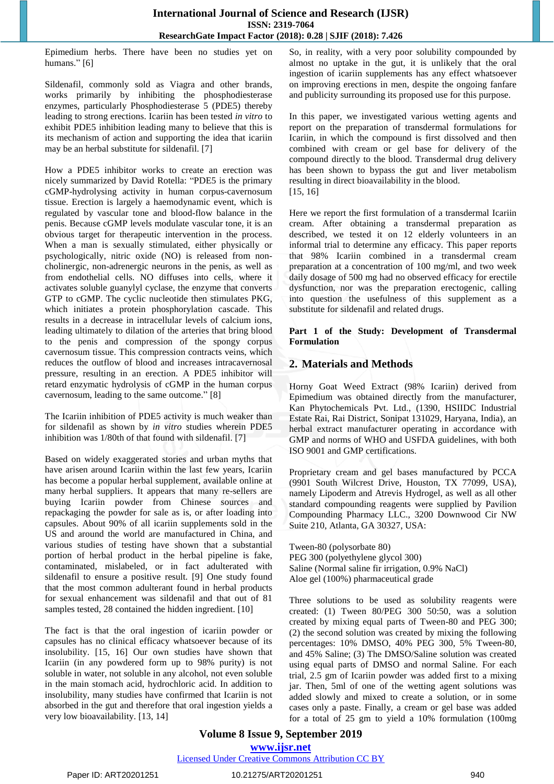Epimedium herbs. There have been no studies yet on humans." [6]

Sildenafil, commonly sold as Viagra and other brands, works primarily by inhibiting the phosphodiesterase enzymes, particularly Phosphodiesterase 5 (PDE5) thereby leading to strong erections. Icariin has been tested *in vitro* to exhibit PDE5 inhibition leading many to believe that this is its mechanism of action and supporting the idea that icariin may be an herbal substitute for sildenafil. [7]

How a PDE5 inhibitor works to create an erection was nicely summarized by David Rotella: "PDE5 is the primary cGMP-hydrolysing activity in human corpus-cavernosum tissue. Erection is largely a haemodynamic event, which is regulated by vascular tone and blood-flow balance in the penis. Because cGMP levels modulate vascular tone, it is an obvious target for therapeutic intervention in the process. When a man is sexually stimulated, either physically or psychologically, nitric oxide (NO) is released from noncholinergic, non-adrenergic neurons in the penis, as well as from endothelial cells. NO diffuses into cells, where it activates soluble guanylyl cyclase, the enzyme that converts GTP to cGMP. The cyclic nucleotide then stimulates PKG, which initiates a protein phosphorylation cascade. This results in a decrease in intracellular levels of calcium ions, leading ultimately to dilation of the arteries that bring blood to the penis and compression of the spongy corpus cavernosum tissue. This compression contracts veins, which reduces the outflow of blood and increases intracavernosal pressure, resulting in an erection. A PDE5 inhibitor will retard enzymatic hydrolysis of cGMP in the human corpus cavernosum, leading to the same outcome." [8]

The Icariin inhibition of PDE5 activity is much weaker than for sildenafil as shown by *in vitro* studies wherein PDE5 inhibition was 1/80th of that found with sildenafil. [7]

Based on widely exaggerated stories and urban myths that have arisen around Icariin within the last few years, Icariin has become a popular herbal supplement, available online at many herbal suppliers. It appears that many re-sellers are buying Icariin powder from Chinese sources and repackaging the powder for sale as is, or after loading into capsules. About 90% of all icariin supplements sold in the US and around the world are manufactured in China, and various studies of testing have shown that a substantial portion of herbal product in the herbal pipeline is fake, contaminated, mislabeled, or in fact adulterated with sildenafil to ensure a positive result. [9] One study found that the most common adulterant found in herbal products for sexual enhancement was sildenafil and that out of 81 samples tested, 28 contained the hidden ingredient. [10]

The fact is that the oral ingestion of icariin powder or capsules has no clinical efficacy whatsoever because of its insolubility. [15, 16] Our own studies have shown that Icariin (in any powdered form up to 98% purity) is not soluble in water, not soluble in any alcohol, not even soluble in the main stomach acid, hydrochloric acid. In addition to insolubility, many studies have confirmed that Icariin is not absorbed in the gut and therefore that oral ingestion yields a very low bioavailability. [13, 14]

So, in reality, with a very poor solubility compounded by almost no uptake in the gut, it is unlikely that the oral ingestion of icariin supplements has any effect whatsoever on improving erections in men, despite the ongoing fanfare and publicity surrounding its proposed use for this purpose.

In this paper, we investigated various wetting agents and report on the preparation of transdermal formulations for Icariin, in which the compound is first dissolved and then combined with cream or gel base for delivery of the compound directly to the blood. Transdermal drug delivery has been shown to bypass the gut and liver metabolism resulting in direct bioavailability in the blood. [15, 16]

Here we report the first formulation of a transdermal Icariin cream. After obtaining a transdermal preparation as described, we tested it on 12 elderly volunteers in an informal trial to determine any efficacy. This paper reports that 98% Icariin combined in a transdermal cream preparation at a concentration of 100 mg/ml, and two week daily dosage of 500 mg had no observed efficacy for erectile dysfunction, nor was the preparation erectogenic, calling into question the usefulness of this supplement as a substitute for sildenafil and related drugs.

**Part 1 of the Study: Development of Transdermal Formulation**

# **2. Materials and Methods**

Horny Goat Weed Extract (98% Icariin) derived from Epimedium was obtained directly from the manufacturer, Kan Phytochemicals Pvt. Ltd., (1390, HSIIDC Industrial Estate Rai, Rai District, Sonipat 131029, Haryana, India), an herbal extract manufacturer operating in accordance with GMP and norms of WHO and USFDA guidelines, with both ISO 9001 and GMP certifications.

Proprietary cream and gel bases manufactured by PCCA (9901 South Wilcrest Drive, Houston, TX 77099, USA), namely Lipoderm and Atrevis Hydrogel, as well as all other standard compounding reagents were supplied by Pavilion Compounding Pharmacy LLC., 3200 Downwood Cir NW Suite 210, Atlanta, GA 30327, USA:

Tween-80 (polysorbate 80) PEG 300 (polyethylene glycol 300) Saline (Normal saline fir irrigation, 0.9% NaCl) Aloe gel (100%) pharmaceutical grade

Three solutions to be used as solubility reagents were created: (1) Tween 80/PEG 300 50:50, was a solution created by mixing equal parts of Tween-80 and PEG 300; (2) the second solution was created by mixing the following percentages: 10% DMSO, 40% PEG 300, 5% Tween-80, and 45% Saline; (3) The DMSO/Saline solution was created using equal parts of DMSO and normal Saline. For each trial, 2.5 gm of Icariin powder was added first to a mixing jar. Then, 5ml of one of the wetting agent solutions was added slowly and mixed to create a solution, or in some cases only a paste. Finally, a cream or gel base was added for a total of 25 gm to yield a 10% formulation (100mg

# **Volume 8 Issue 9, September 2019 www.ijsr.net**

Licensed Under Creative Commons Attribution CC BY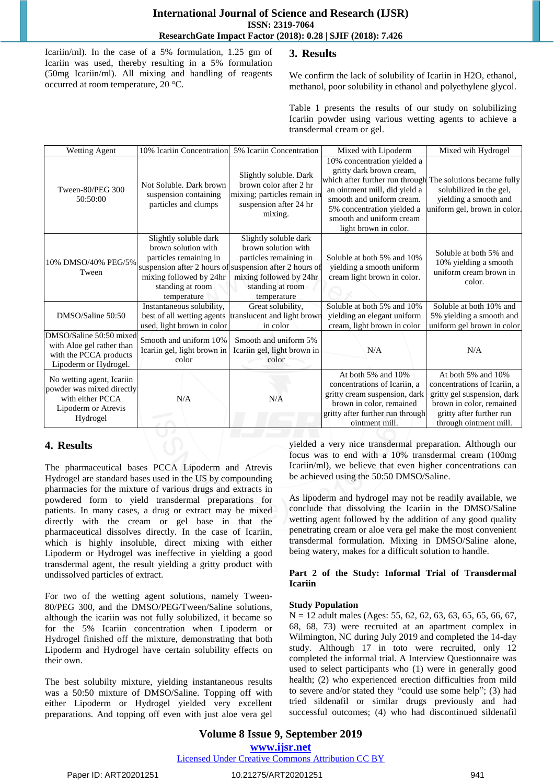Icariin/ml). In the case of a 5% formulation, 1.25 gm of Icariin was used, thereby resulting in a 5% formulation (50mg Icariin/ml). All mixing and handling of reagents occurred at room temperature, 20 °C.

# **3. Results**

We confirm the lack of solubility of Icariin in H2O, ethanol, methanol, poor solubility in ethanol and polyethylene glycol.

Table 1 presents the results of our study on solubilizing Icariin powder using various wetting agents to achieve a transdermal cream or gel.

| <b>Wetting Agent</b>                                                                                          | 10% Icariin Concentration                                                                                                            | 5% Icariin Concentration                                                                                                                                                                        | Mixed with Lipoderm                                                                                                                                                                                                                                                    | Mixed wih Hydrogel                                                                                                                                                  |
|---------------------------------------------------------------------------------------------------------------|--------------------------------------------------------------------------------------------------------------------------------------|-------------------------------------------------------------------------------------------------------------------------------------------------------------------------------------------------|------------------------------------------------------------------------------------------------------------------------------------------------------------------------------------------------------------------------------------------------------------------------|---------------------------------------------------------------------------------------------------------------------------------------------------------------------|
| Tween-80/PEG 300<br>50:50:00                                                                                  | Not Soluble. Dark brown<br>suspension containing<br>particles and clumps                                                             | Slightly soluble. Dark<br>brown color after 2 hr<br>mixing; particles remain in<br>suspension after 24 hr<br>mixing.                                                                            | 10% concentration yielded a<br>gritty dark brown cream,<br>which after further run through The solutions became fully<br>an ointment mill, did yield a<br>smooth and uniform cream.<br>5% concentration yielded a<br>smooth and uniform cream<br>light brown in color. | solubilized in the gel,<br>yielding a smooth and<br>uniform gel, brown in color.                                                                                    |
| 10% DMSO/40% PEG/5%<br>Tween                                                                                  | Slightly soluble dark<br>brown solution with<br>particles remaining in<br>mixing followed by 24hr<br>standing at room<br>temperature | Slightly soluble dark<br>brown solution with<br>particles remaining in<br>suspension after 2 hours of suspension after 2 hours of<br>mixing followed by 24hr<br>standing at room<br>temperature | Soluble at both 5% and 10%<br>yielding a smooth uniform<br>cream light brown in color.                                                                                                                                                                                 | Soluble at both 5% and<br>10% yielding a smooth<br>uniform cream brown in<br>color.                                                                                 |
| DMSO/Saline 50:50                                                                                             | Instantaneous solubility,<br>best of all wetting agents<br>used, light brown in color                                                | Great solubility,<br>translucent and light brown<br>in color                                                                                                                                    | Soluble at both 5% and 10%<br>yielding an elegant uniform<br>cream, light brown in color                                                                                                                                                                               | Soluble at both 10% and<br>5% yielding a smooth and<br>uniform gel brown in color                                                                                   |
| DMSO/Saline 50:50 mixed<br>with Aloe gel rather than<br>with the PCCA products<br>Lipoderm or Hydrogel.       | Smooth and uniform 10%<br>Icariin gel, light brown in<br>color                                                                       | Smooth and uniform 5%<br>Icariin gel, light brown in<br>color                                                                                                                                   | N/A                                                                                                                                                                                                                                                                    | N/A                                                                                                                                                                 |
| No wetting agent, Icariin<br>powder was mixed directly<br>with either PCCA<br>Lipoderm or Atrevis<br>Hydrogel | N/A                                                                                                                                  | N/A                                                                                                                                                                                             | At both 5% and 10%<br>concentrations of Icariin, a<br>gritty cream suspension, dark<br>brown in color, remained<br>gritty after further run through<br>ointment mill.                                                                                                  | At both 5% and 10%<br>concentrations of Icariin, a<br>gritty gel suspension, dark<br>brown in color, remained<br>gritty after further run<br>through ointment mill. |

# **4. Results**

The pharmaceutical bases PCCA Lipoderm and Atrevis Hydrogel are standard bases used in the US by compounding pharmacies for the mixture of various drugs and extracts in powdered form to yield transdermal preparations for patients. In many cases, a drug or extract may be mixed directly with the cream or gel base in that the pharmaceutical dissolves directly. In the case of Icariin, which is highly insoluble, direct mixing with either Lipoderm or Hydrogel was ineffective in yielding a good transdermal agent, the result yielding a gritty product with undissolved particles of extract.

For two of the wetting agent solutions, namely Tween-80/PEG 300, and the DMSO/PEG/Tween/Saline solutions, although the icariin was not fully solubilized, it became so for the 5% Icariin concentration when Lipoderm or Hydrogel finished off the mixture, demonstrating that both Lipoderm and Hydrogel have certain solubility effects on their own.

The best solubilty mixture, yielding instantaneous results was a 50:50 mixture of DMSO/Saline. Topping off with either Lipoderm or Hydrogel yielded very excellent preparations. And topping off even with just aloe vera gel yielded a very nice transdermal preparation. Although our focus was to end with a 10% transdermal cream (100mg Icariin/ml), we believe that even higher concentrations can be achieved using the 50:50 DMSO/Saline.

As lipoderm and hydrogel may not be readily available, we conclude that dissolving the Icariin in the DMSO/Saline wetting agent followed by the addition of any good quality penetrating cream or aloe vera gel make the most convenient transdermal formulation. Mixing in DMSO/Saline alone, being watery, makes for a difficult solution to handle.

#### **Part 2 of the Study: Informal Trial of Transdermal Icariin**

#### **Study Population**

N = 12 adult males (Ages: 55, 62, 62, 63, 63, 65, 65, 66, 67, 68, 68, 73) were recruited at an apartment complex in Wilmington, NC during July 2019 and completed the 14-day study. Although 17 in toto were recruited, only 12 completed the informal trial. A Interview Questionnaire was used to select participants who (1) were in generally good health; (2) who experienced erection difficulties from mild to severe and/or stated they "could use some help"; (3) had tried sildenafil or similar drugs previously and had successful outcomes; (4) who had discontinued sildenafil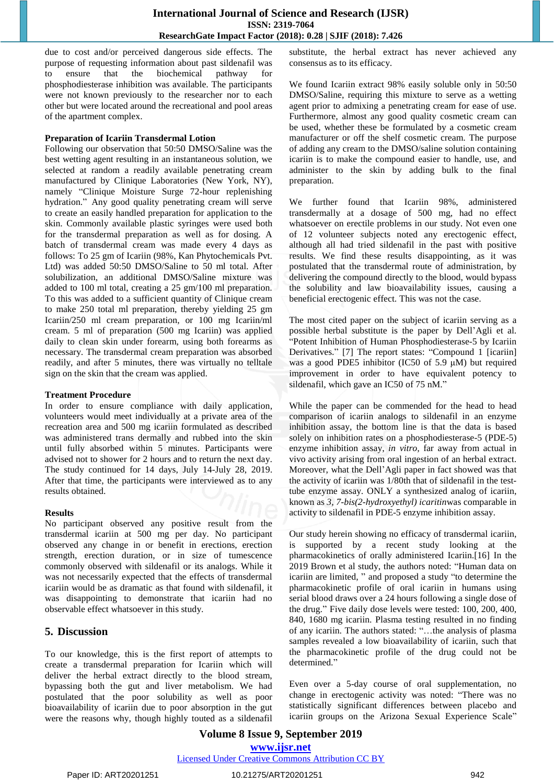due to cost and/or perceived dangerous side effects. The purpose of requesting information about past sildenafil was to ensure that the biochemical pathway for phosphodiesterase inhibition was available. The participants were not known previously to the researcher nor to each other but were located around the recreational and pool areas of the apartment complex.

#### **Preparation of Icariin Transdermal Lotion**

Following our observation that 50:50 DMSO/Saline was the best wetting agent resulting in an instantaneous solution, we selected at random a readily available penetrating cream manufactured by Clinique Laboratories (New York, NY), namely "Clinique Moisture Surge 72-hour replenishing hydration." Any good quality penetrating cream will serve to create an easily handled preparation for application to the skin. Commonly available plastic syringes were used both for the transdermal preparation as well as for dosing. A batch of transdermal cream was made every 4 days as follows: To 25 gm of Icariin (98%, Kan Phytochemicals Pvt. Ltd) was added 50:50 DMSO/Saline to 50 ml total. After solubilization, an additional DMSO/Saline mixture was added to 100 ml total, creating a 25 gm/100 ml preparation. To this was added to a sufficient quantity of Clinique cream to make 250 total ml preparation, thereby yielding 25 gm Icariin/250 ml cream preparation, or 100 mg Icariin/ml cream. 5 ml of preparation (500 mg Icariin) was applied daily to clean skin under forearm, using both forearms as necessary. The transdermal cream preparation was absorbed readily, and after 5 minutes, there was virtually no telltale sign on the skin that the cream was applied.

#### **Treatment Procedure**

In order to ensure compliance with daily application, volunteers would meet individually at a private area of the recreation area and 500 mg icariin formulated as described was administered trans dermally and rubbed into the skin until fully absorbed within 5 minutes. Participants were advised not to shower for 2 hours and to return the next day. The study continued for 14 days, July 14-July 28, 2019. After that time, the participants were interviewed as to any results obtained.

#### **Results**

No participant observed any positive result from the transdermal icariin at 500 mg per day. No participant observed any change in or benefit in erections, erection strength, erection duration, or in size of tumescence commonly observed with sildenafil or its analogs. While it was not necessarily expected that the effects of transdermal icariin would be as dramatic as that found with sildenafil, it was disappointing to demonstrate that icariin had no observable effect whatsoever in this study.

## **5. Discussion**

To our knowledge, this is the first report of attempts to create a transdermal preparation for Icariin which will deliver the herbal extract directly to the blood stream, bypassing both the gut and liver metabolism. We had postulated that the poor solubility as well as poor bioavailability of icariin due to poor absorption in the gut were the reasons why, though highly touted as a sildenafil substitute, the herbal extract has never achieved any consensus as to its efficacy.

We found Icariin extract 98% easily soluble only in 50:50 DMSO/Saline, requiring this mixture to serve as a wetting agent prior to admixing a penetrating cream for ease of use. Furthermore, almost any good quality cosmetic cream can be used, whether these be formulated by a cosmetic cream manufacturer or off the shelf cosmetic cream. The purpose of adding any cream to the DMSO/saline solution containing icariin is to make the compound easier to handle, use, and administer to the skin by adding bulk to the final preparation.

We further found that Icariin 98%, administered transdermally at a dosage of 500 mg, had no effect whatsoever on erectile problems in our study. Not even one of 12 volunteer subjects noted any erectogenic effect, although all had tried sildenafil in the past with positive results. We find these results disappointing, as it was postulated that the transdermal route of administration, by delivering the compound directly to the blood, would bypass the solubility and law bioavailability issues, causing a beneficial erectogenic effect. This was not the case.

The most cited paper on the subject of icariin serving as a possible herbal substitute is the paper by Dell'Agli et al. ―Potent Inhibition of Human Phosphodiesterase-5 by Icariin Derivatives." [7] The report states: "Compound 1 [icariin] was a good PDE5 inhibitor (IC50 of 5.9  $\mu$ M) but required improvement in order to have equivalent potency to sildenafil, which gave an IC50 of 75 nM."

While the paper can be commended for the head to head comparison of icariin analogs to sildenafil in an enzyme inhibition assay, the bottom line is that the data is based solely on inhibition rates on a phosphodiesterase-5 (PDE-5) enzyme inhibition assay, *in vitro,* far away from actual in vivo activity arising from oral ingestion of an herbal extract. Moreover, what the Dell'Agli paper in fact showed was that the activity of icariin was 1/80th that of sildenafil in the testtube enzyme assay. ONLY a synthesized analog of icariin, known as *3, 7-bis(2-hydroxyethyl) icaritin*was comparable in activity to sildenafil in PDE-5 enzyme inhibition assay.

Our study herein showing no efficacy of transdermal icariin, is supported by a recent study looking at the pharmacokinetics of orally administered Icariin.[16] In the 2019 Brown et al study, the authors noted: "Human data on icariin are limited, " and proposed a study "to determine the pharmacokinetic profile of oral icariin in humans using serial blood draws over a 24 hours following a single dose of the drug." Five daily dose levels were tested: 100, 200, 400, 840, 1680 mg icariin. Plasma testing resulted in no finding of any icariin. The authors stated: "...the analysis of plasma samples revealed a low bioavailability of icariin, such that the pharmacokinetic profile of the drug could not be determined."

Even over a 5-day course of oral supplementation, no change in erectogenic activity was noted: "There was no statistically significant differences between placebo and icariin groups on the Arizona Sexual Experience Scale"

## **Volume 8 Issue 9, September 2019 www.ijsr.net** Licensed Under Creative Commons Attribution CC BY